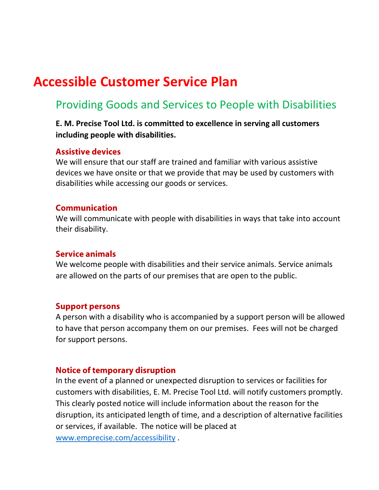# **Accessible Customer Service Plan**

## Providing Goods and Services to People with Disabilities

### **E. M. Precise Tool Ltd. is committed to excellence in serving all customers including people with disabilities.**

#### **Assistive devices**

We will ensure that our staff are trained and familiar with various assistive devices we have onsite or that we provide that may be used by customers with disabilities while accessing our goods or services.

#### **Communication**

We will communicate with people with disabilities in ways that take into account their disability.

#### **Service animals**

We welcome people with disabilities and their service animals. Service animals are allowed on the parts of our premises that are open to the public.

#### **Support persons**

A person with a disability who is accompanied by a support person will be allowed to have that person accompany them on our premises. Fees will not be charged for support persons.

#### **Notice of temporary disruption**

In the event of a planned or unexpected disruption to services or facilities for customers with disabilities, E. M. Precise Tool Ltd. will notify customers promptly. This clearly posted notice will include information about the reason for the disruption, its anticipated length of time, and a description of alternative facilities or services, if available. The notice will be placed at

[www.emprecise.com/accessibility](http://www.emprecise.com/accessibility) .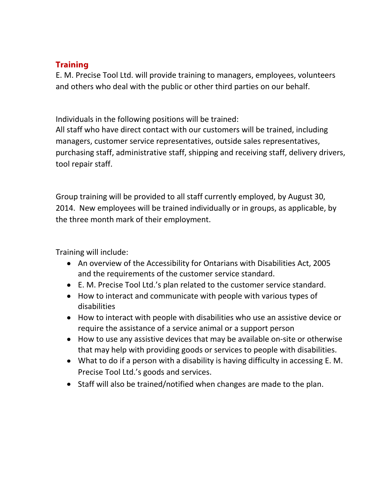## **Training**

E. M. Precise Tool Ltd. will provide training to managers, employees, volunteers and others who deal with the public or other third parties on our behalf.

Individuals in the following positions will be trained:

All staff who have direct contact with our customers will be trained, including managers, customer service representatives, outside sales representatives, purchasing staff, administrative staff, shipping and receiving staff, delivery drivers, tool repair staff.

Group training will be provided to all staff currently employed, by August 30, 2014. New employees will be trained individually or in groups, as applicable, by the three month mark of their employment.

Training will include:

- An overview of the Accessibility for Ontarians with Disabilities Act, 2005 and the requirements of the customer service standard.
- E. M. Precise Tool Ltd.'s plan related to the customer service standard.
- How to interact and communicate with people with various types of disabilities
- How to interact with people with disabilities who use an assistive device or require the assistance of a service animal or a support person
- How to use any assistive devices that may be available on-site or otherwise that may help with providing goods or services to people with disabilities.
- What to do if a person with a disability is having difficulty in accessing E. M. Precise Tool Ltd.'s goods and services.
- Staff will also be trained/notified when changes are made to the plan.